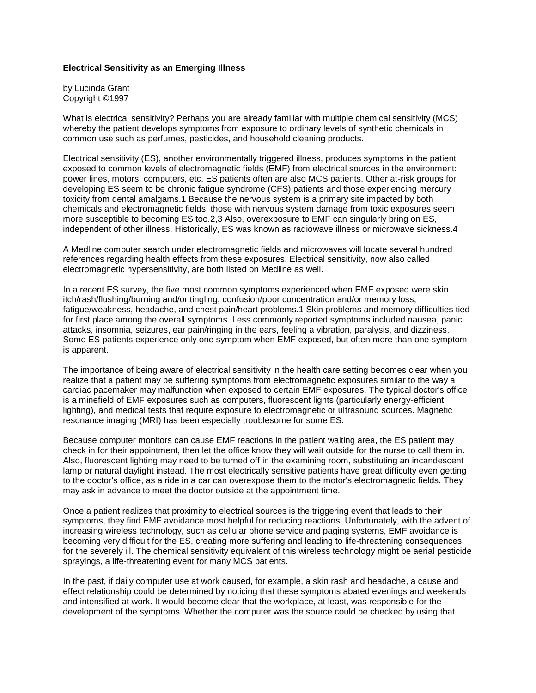## **Electrical Sensitivity as an Emerging Illness**

by Lucinda Grant Copyright ©1997

What is electrical sensitivity? Perhaps you are already familiar with multiple chemical sensitivity (MCS) whereby the patient develops symptoms from exposure to ordinary levels of synthetic chemicals in common use such as perfumes, pesticides, and household cleaning products.

Electrical sensitivity (ES), another environmentally triggered illness, produces symptoms in the patient exposed to common levels of electromagnetic fields (EMF) from electrical sources in the environment: power lines, motors, computers, etc. ES patients often are also MCS patients. Other at-risk groups for developing ES seem to be chronic fatigue syndrome (CFS) patients and those experiencing mercury toxicity from dental amalgams.1 Because the nervous system is a primary site impacted by both chemicals and electromagnetic fields, those with nervous system damage from toxic exposures seem more susceptible to becoming ES too.2,3 Also, overexposure to EMF can singularly bring on ES, independent of other illness. Historically, ES was known as radiowave illness or microwave sickness.4

A Medline computer search under electromagnetic fields and microwaves will locate several hundred references regarding health effects from these exposures. Electrical sensitivity, now also called electromagnetic hypersensitivity, are both listed on Medline as well.

In a recent ES survey, the five most common symptoms experienced when EMF exposed were skin itch/rash/flushing/burning and/or tingling, confusion/poor concentration and/or memory loss, fatigue/weakness, headache, and chest pain/heart problems.1 Skin problems and memory difficulties tied for first place among the overall symptoms. Less commonly reported symptoms included nausea, panic attacks, insomnia, seizures, ear pain/ringing in the ears, feeling a vibration, paralysis, and dizziness. Some ES patients experience only one symptom when EMF exposed, but often more than one symptom is apparent.

The importance of being aware of electrical sensitivity in the health care setting becomes clear when you realize that a patient may be suffering symptoms from electromagnetic exposures similar to the way a cardiac pacemaker may malfunction when exposed to certain EMF exposures. The typical doctor's office is a minefield of EMF exposures such as computers, fluorescent lights (particularly energy-efficient lighting), and medical tests that require exposure to electromagnetic or ultrasound sources. Magnetic resonance imaging (MRI) has been especially troublesome for some ES.

Because computer monitors can cause EMF reactions in the patient waiting area, the ES patient may check in for their appointment, then let the office know they will wait outside for the nurse to call them in. Also, fluorescent lighting may need to be turned off in the examining room, substituting an incandescent lamp or natural daylight instead. The most electrically sensitive patients have great difficulty even getting to the doctor's office, as a ride in a car can overexpose them to the motor's electromagnetic fields. They may ask in advance to meet the doctor outside at the appointment time.

Once a patient realizes that proximity to electrical sources is the triggering event that leads to their symptoms, they find EMF avoidance most helpful for reducing reactions. Unfortunately, with the advent of increasing wireless technology, such as cellular phone service and paging systems, EMF avoidance is becoming very difficult for the ES, creating more suffering and leading to life-threatening consequences for the severely ill. The chemical sensitivity equivalent of this wireless technology might be aerial pesticide sprayings, a life-threatening event for many MCS patients.

In the past, if daily computer use at work caused, for example, a skin rash and headache, a cause and effect relationship could be determined by noticing that these symptoms abated evenings and weekends and intensified at work. It would become clear that the workplace, at least, was responsible for the development of the symptoms. Whether the computer was the source could be checked by using that